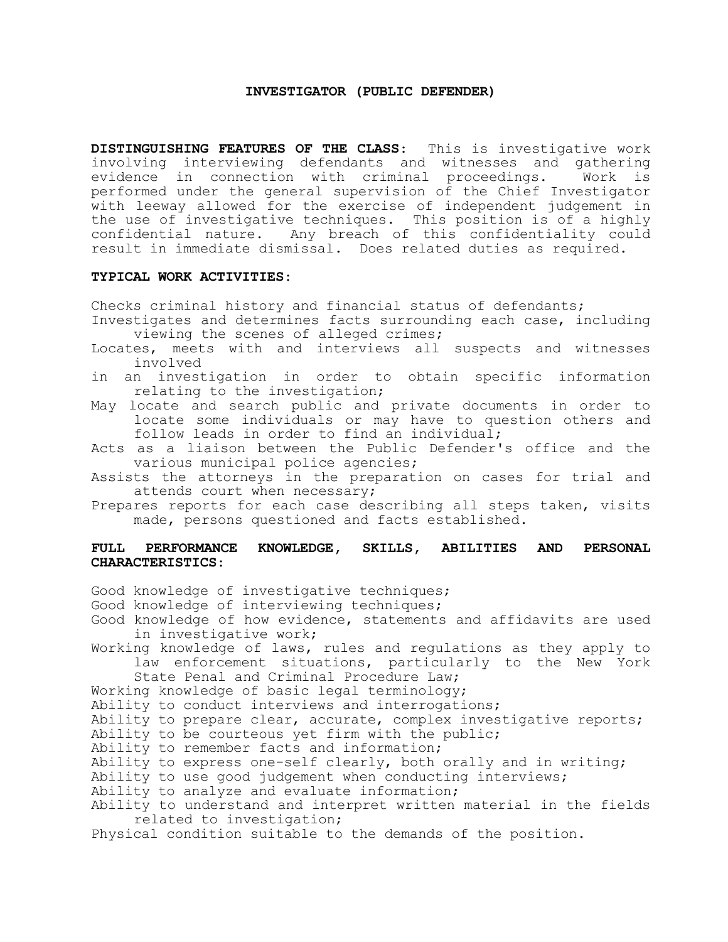### **INVESTIGATOR (PUBLIC DEFENDER)**

**DISTINGUISHING FEATURES OF THE CLASS**: This is investigative work involving interviewing defendants and witnesses and gathering evidence in connection with criminal proceedings. Work is performed under the general supervision of the Chief Investigator with leeway allowed for the exercise of independent judgement in the use of investigative techniques. This position is of a highly confidential nature. Any breach of this confidentiality could result in immediate dismissal. Does related duties as required.

#### **TYPICAL WORK ACTIVITIES**:

Checks criminal history and financial status of defendants;

- Investigates and determines facts surrounding each case, including viewing the scenes of alleged crimes;
- Locates, meets with and interviews all suspects and witnesses involved
- in an investigation in order to obtain specific information relating to the investigation;

May locate and search public and private documents in order to locate some individuals or may have to question others and follow leads in order to find an individual;

Acts as a liaison between the Public Defender's office and the various municipal police agencies;

Assists the attorneys in the preparation on cases for trial and attends court when necessary;

Prepares reports for each case describing all steps taken, visits made, persons questioned and facts established.

# **FULL PERFORMANCE KNOWLEDGE, SKILLS, ABILITIES AND PERSONAL CHARACTERISTICS**:

Good knowledge of investigative techniques;

- Good knowledge of interviewing techniques;
- Good knowledge of how evidence, statements and affidavits are used in investigative work;
- Working knowledge of laws, rules and regulations as they apply to law enforcement situations, particularly to the New York State Penal and Criminal Procedure Law;

Working knowledge of basic legal terminology;

Ability to conduct interviews and interrogations;

Ability to prepare clear, accurate, complex investigative reports;

- Ability to be courteous yet firm with the public;
- Ability to remember facts and information;
- Ability to express one-self clearly, both orally and in writing;
- Ability to use good judgement when conducting interviews;

Ability to analyze and evaluate information;

Ability to understand and interpret written material in the fields related to investigation;

Physical condition suitable to the demands of the position.